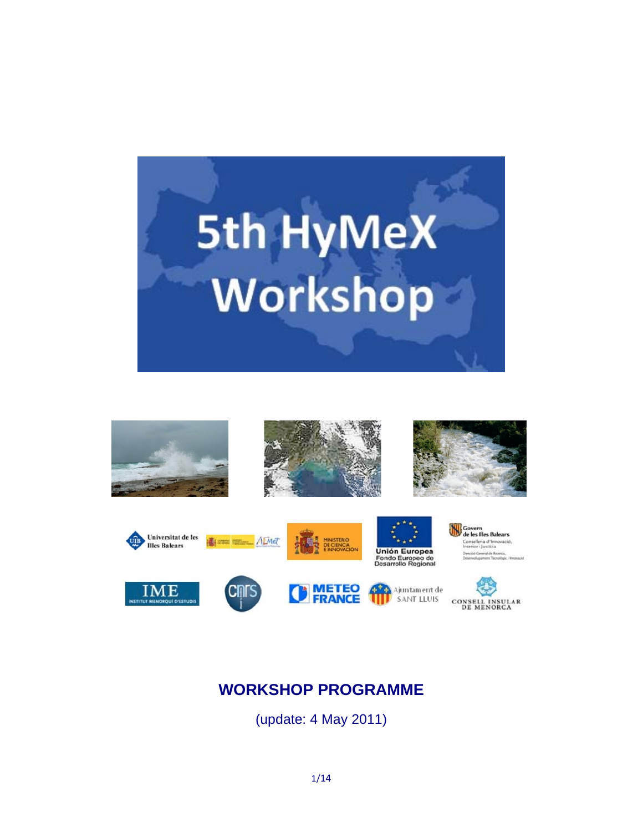



# **WORKSHOP PROGRAMME**

(update: 4 May 2011)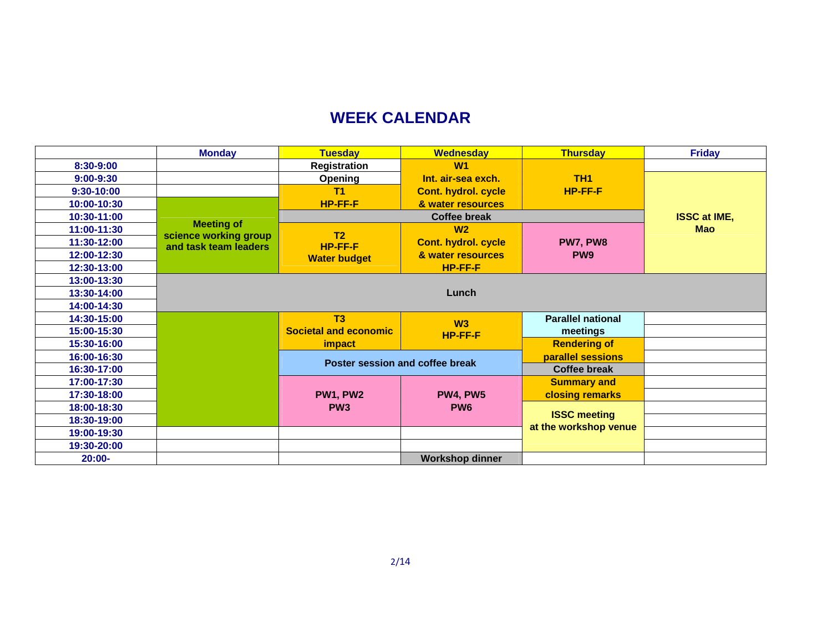# **WEEK CALENDAR**

|               | <b>Monday</b>                                  | <b>Tuesday</b>                        | <b>Wednesday</b>           | <b>Thursday</b>          | <b>Friday</b>       |
|---------------|------------------------------------------------|---------------------------------------|----------------------------|--------------------------|---------------------|
| 8:30-9:00     |                                                | Registration                          | W1                         |                          |                     |
| $9:00 - 9:30$ |                                                | Opening                               | Int. air-sea exch.         | <b>TH1</b>               |                     |
| 9:30-10:00    |                                                | T <sub>1</sub>                        | <b>Cont. hydrol. cycle</b> | HP-FF-F                  |                     |
| 10:00-10:30   |                                                | HP-FF-F                               | & water resources          |                          |                     |
| 10:30-11:00   | <b>Meeting of</b>                              | <b>Coffee break</b>                   |                            |                          | <b>ISSC at IME,</b> |
| 11:00-11:30   |                                                | T <sub>2</sub>                        | W <sub>2</sub>             |                          | <b>Mao</b>          |
| 11:30-12:00   | science working group<br>and task team leaders | <b>HP-FF-F</b><br><b>Water budget</b> | <b>Cont. hydrol. cycle</b> | PW7, PW8                 |                     |
| 12:00-12:30   |                                                |                                       | & water resources          | PW <sub>9</sub>          |                     |
| 12:30-13:00   |                                                |                                       | HP-FF-F                    |                          |                     |
| 13:00-13:30   |                                                |                                       |                            |                          |                     |
| 13:30-14:00   |                                                |                                       | Lunch                      |                          |                     |
| 14:00-14:30   |                                                |                                       |                            |                          |                     |
| 14:30-15:00   |                                                | T3                                    | W3                         | <b>Parallel national</b> |                     |
| 15:00-15:30   |                                                | <b>Societal and economic</b>          | HP-FF-F                    | meetings                 |                     |
| 15:30-16:00   |                                                | impact                                |                            | <b>Rendering of</b>      |                     |
| 16:00-16:30   |                                                | Poster session and coffee break       |                            | parallel sessions        |                     |
| 16:30-17:00   |                                                |                                       |                            | <b>Coffee break</b>      |                     |
| 17:00-17:30   |                                                |                                       |                            | <b>Summary and</b>       |                     |
| 17:30-18:00   |                                                | PW1, PW2                              | <b>PW4, PW5</b>            | closing remarks          |                     |
| 18:00-18:30   |                                                | PW <sub>3</sub>                       | PW <sub>6</sub>            |                          |                     |
| 18:30-19:00   |                                                |                                       |                            | <b>ISSC meeting</b>      |                     |
| 19:00-19:30   |                                                |                                       |                            | at the workshop venue    |                     |
| 19:30-20:00   |                                                |                                       |                            |                          |                     |
| $20:00 -$     |                                                |                                       | <b>Workshop dinner</b>     |                          |                     |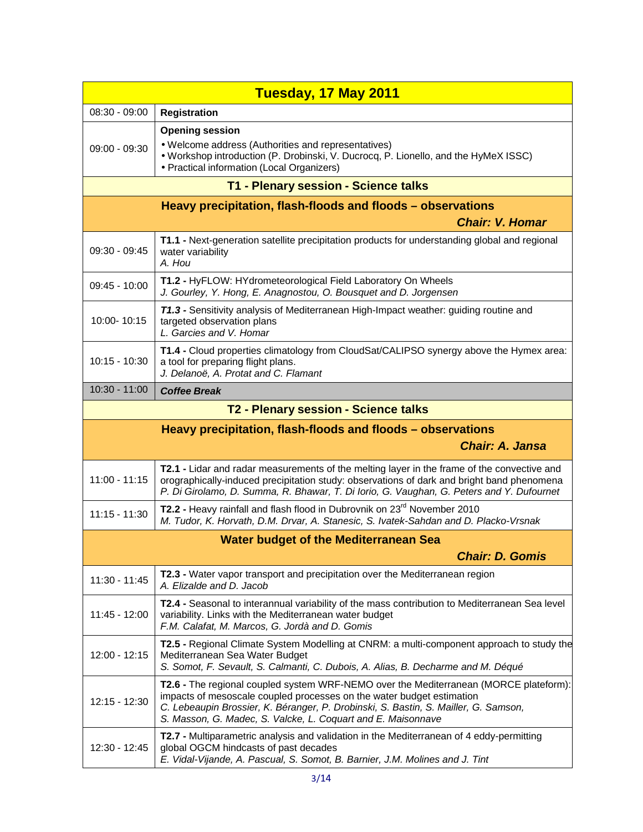|                                                             | Tuesday, 17 May 2011                                                                                                                                                                                                                                                                                                  |  |
|-------------------------------------------------------------|-----------------------------------------------------------------------------------------------------------------------------------------------------------------------------------------------------------------------------------------------------------------------------------------------------------------------|--|
| $08:30 - 09:00$                                             | <b>Registration</b>                                                                                                                                                                                                                                                                                                   |  |
| $09:00 - 09:30$                                             | <b>Opening session</b><br>• Welcome address (Authorities and representatives)<br>. Workshop introduction (P. Drobinski, V. Ducrocq, P. Lionello, and the HyMeX ISSC)<br>• Practical information (Local Organizers)                                                                                                    |  |
|                                                             | T1 - Plenary session - Science talks                                                                                                                                                                                                                                                                                  |  |
| Heavy precipitation, flash-floods and floods - observations |                                                                                                                                                                                                                                                                                                                       |  |
|                                                             | <b>Chair: V. Homar</b>                                                                                                                                                                                                                                                                                                |  |
| $09:30 - 09:45$                                             | T1.1 - Next-generation satellite precipitation products for understanding global and regional<br>water variability<br>A. Hou                                                                                                                                                                                          |  |
| $09:45 - 10:00$                                             | T1.2 - HyFLOW: HYdrometeorological Field Laboratory On Wheels<br>J. Gourley, Y. Hong, E. Anagnostou, O. Bousquet and D. Jorgensen                                                                                                                                                                                     |  |
| 10:00-10:15                                                 | <b>T1.3</b> - Sensitivity analysis of Mediterranean High-Impact weather: guiding routine and<br>targeted observation plans<br>L. Garcies and V. Homar                                                                                                                                                                 |  |
| $10:15 - 10:30$                                             | T1.4 - Cloud properties climatology from CloudSat/CALIPSO synergy above the Hymex area:<br>a tool for preparing flight plans.<br>J. Delanoë, A. Protat and C. Flamant                                                                                                                                                 |  |
| 10:30 - 11:00                                               | <b>Coffee Break</b>                                                                                                                                                                                                                                                                                                   |  |
|                                                             | T2 - Plenary session - Science talks                                                                                                                                                                                                                                                                                  |  |
|                                                             | Heavy precipitation, flash-floods and floods – observations                                                                                                                                                                                                                                                           |  |
|                                                             | <b>Chair: A. Jansa</b>                                                                                                                                                                                                                                                                                                |  |
| $11:00 - 11:15$                                             | T2.1 - Lidar and radar measurements of the melting layer in the frame of the convective and<br>orographically-induced precipitation study: observations of dark and bright band phenomena<br>P. Di Girolamo, D. Summa, R. Bhawar, T. Di Iorio, G. Vaughan, G. Peters and Y. Dufournet                                 |  |
| $11:15 - 11:30$                                             | T2.2 - Heavy rainfall and flash flood in Dubrovnik on 23 <sup>rd</sup> November 2010<br>M. Tudor, K. Horvath, D.M. Drvar, A. Stanesic, S. Ivatek-Sahdan and D. Placko-Vrsnak                                                                                                                                          |  |
|                                                             | <b>Water budget of the Mediterranean Sea</b>                                                                                                                                                                                                                                                                          |  |
|                                                             | <b>Chair: D. Gomis</b>                                                                                                                                                                                                                                                                                                |  |
| 11:30 - 11:45                                               | T2.3 - Water vapor transport and precipitation over the Mediterranean region<br>A. Elizalde and D. Jacob                                                                                                                                                                                                              |  |
| 11:45 - 12:00                                               | T2.4 - Seasonal to interannual variability of the mass contribution to Mediterranean Sea level<br>variability. Links with the Mediterranean water budget<br>F.M. Calafat, M. Marcos, G. Jordà and D. Gomis                                                                                                            |  |
| 12:00 - 12:15                                               | T2.5 - Regional Climate System Modelling at CNRM: a multi-component approach to study the<br>Mediterranean Sea Water Budget<br>S. Somot, F. Sevault, S. Calmanti, C. Dubois, A. Alias, B. Decharme and M. Déqué                                                                                                       |  |
| 12:15 - 12:30                                               | T2.6 - The regional coupled system WRF-NEMO over the Mediterranean (MORCE plateform):<br>impacts of mesoscale coupled processes on the water budget estimation<br>C. Lebeaupin Brossier, K. Béranger, P. Drobinski, S. Bastin, S. Mailler, G. Samson,<br>S. Masson, G. Madec, S. Valcke, L. Coquart and E. Maisonnave |  |
| 12:30 - 12:45                                               | T2.7 - Multiparametric analysis and validation in the Mediterranean of 4 eddy-permitting<br>global OGCM hindcasts of past decades<br>E. Vidal-Vijande, A. Pascual, S. Somot, B. Barnier, J.M. Molines and J. Tint                                                                                                     |  |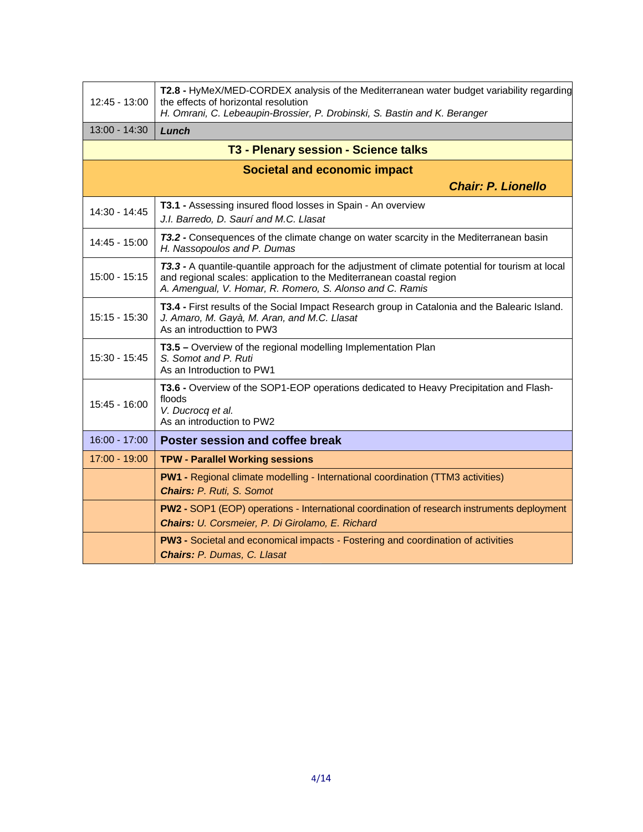| 12:45 - 13:00                        | T2.8 - HyMeX/MED-CORDEX analysis of the Mediterranean water budget variability regarding<br>the effects of horizontal resolution<br>H. Omrani, C. Lebeaupin-Brossier, P. Drobinski, S. Bastin and K. Beranger                        |  |  |  |
|--------------------------------------|--------------------------------------------------------------------------------------------------------------------------------------------------------------------------------------------------------------------------------------|--|--|--|
| 13:00 - 14:30                        | Lunch                                                                                                                                                                                                                                |  |  |  |
| T3 - Plenary session - Science talks |                                                                                                                                                                                                                                      |  |  |  |
| <b>Societal and economic impact</b>  |                                                                                                                                                                                                                                      |  |  |  |
|                                      | <b>Chair: P. Lionello</b>                                                                                                                                                                                                            |  |  |  |
| 14:30 - 14:45                        | T3.1 - Assessing insured flood losses in Spain - An overview<br>J.I. Barredo, D. Saurí and M.C. Llasat                                                                                                                               |  |  |  |
| 14:45 - 15:00                        | 73.2 - Consequences of the climate change on water scarcity in the Mediterranean basin<br>H. Nassopoulos and P. Dumas                                                                                                                |  |  |  |
| 15:00 - 15:15                        | 73.3 - A quantile-quantile approach for the adjustment of climate potential for tourism at local<br>and regional scales: application to the Mediterranean coastal region<br>A. Amengual, V. Homar, R. Romero, S. Alonso and C. Ramis |  |  |  |
| $15:15 - 15:30$                      | T3.4 - First results of the Social Impact Research group in Catalonia and the Balearic Island.<br>J. Amaro, M. Gayà, M. Aran, and M.C. Llasat<br>As an introducttion to PW3                                                          |  |  |  |
| 15:30 - 15:45                        | T3.5 - Overview of the regional modelling Implementation Plan<br>S. Somot and P. Ruti<br>As an Introduction to PW1                                                                                                                   |  |  |  |
| 15:45 - 16:00                        | T3.6 - Overview of the SOP1-EOP operations dedicated to Heavy Precipitation and Flash-<br>floods<br>V. Ducrocq et al.<br>As an introduction to PW2                                                                                   |  |  |  |
| $16:00 - 17:00$                      | Poster session and coffee break                                                                                                                                                                                                      |  |  |  |
| 17:00 - 19:00                        | <b>TPW - Parallel Working sessions</b>                                                                                                                                                                                               |  |  |  |
|                                      | PW1 - Regional climate modelling - International coordination (TTM3 activities)<br><b>Chairs: P. Ruti, S. Somot</b>                                                                                                                  |  |  |  |
|                                      | PW2 - SOP1 (EOP) operations - International coordination of research instruments deployment<br>Chairs: U. Corsmeier, P. Di Girolamo, E. Richard                                                                                      |  |  |  |
|                                      | <b>PW3 - Societal and economical impacts - Fostering and coordination of activities</b><br><b>Chairs: P. Dumas, C. Llasat</b>                                                                                                        |  |  |  |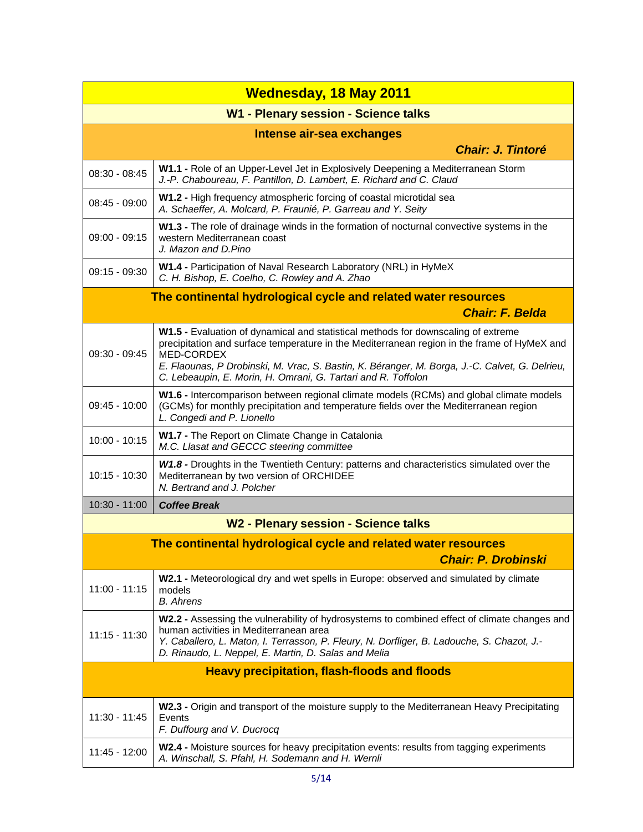| <b>Wednesday, 18 May 2011</b>                       |                                                                                                                                                                                                                                                                                                  |  |
|-----------------------------------------------------|--------------------------------------------------------------------------------------------------------------------------------------------------------------------------------------------------------------------------------------------------------------------------------------------------|--|
| W1 - Plenary session - Science talks                |                                                                                                                                                                                                                                                                                                  |  |
|                                                     | Intense air-sea exchanges                                                                                                                                                                                                                                                                        |  |
|                                                     | <b>Chair: J. Tintoré</b>                                                                                                                                                                                                                                                                         |  |
| $08:30 - 08:45$                                     | W1.1 - Role of an Upper-Level Jet in Explosively Deepening a Mediterranean Storm<br>J.-P. Chaboureau, F. Pantillon, D. Lambert, E. Richard and C. Claud                                                                                                                                          |  |
| $08:45 - 09:00$                                     | W1.2 - High frequency atmospheric forcing of coastal microtidal sea<br>A. Schaeffer, A. Molcard, P. Fraunié, P. Garreau and Y. Seity                                                                                                                                                             |  |
| $09:00 - 09:15$                                     | W1.3 - The role of drainage winds in the formation of nocturnal convective systems in the<br>western Mediterranean coast<br>J. Mazon and D.Pino                                                                                                                                                  |  |
| $09:15 - 09:30$                                     | W1.4 - Participation of Naval Research Laboratory (NRL) in HyMeX<br>C. H. Bishop, E. Coelho, C. Rowley and A. Zhao                                                                                                                                                                               |  |
|                                                     | The continental hydrological cycle and related water resources                                                                                                                                                                                                                                   |  |
|                                                     | <b>Chair: F. Belda</b>                                                                                                                                                                                                                                                                           |  |
| $09:30 - 09:45$                                     | W1.5 - Evaluation of dynamical and statistical methods for downscaling of extreme<br>precipitation and surface temperature in the Mediterranean region in the frame of HyMeX and<br>MED-CORDEX<br>E. Flaounas, P Drobinski, M. Vrac, S. Bastin, K. Béranger, M. Borga, J.-C. Calvet, G. Delrieu, |  |
|                                                     | C. Lebeaupin, E. Morin, H. Omrani, G. Tartari and R. Toffolon                                                                                                                                                                                                                                    |  |
| 09:45 - 10:00                                       | W1.6 - Intercomparison between regional climate models (RCMs) and global climate models<br>(GCMs) for monthly precipitation and temperature fields over the Mediterranean region<br>L. Congedi and P. Lionello                                                                                   |  |
| $10:00 - 10:15$                                     | W1.7 - The Report on Climate Change in Catalonia<br>M.C. Llasat and GECCC steering committee                                                                                                                                                                                                     |  |
| 10:15 - 10:30                                       | W1.8 - Droughts in the Twentieth Century: patterns and characteristics simulated over the<br>Mediterranean by two version of ORCHIDEE<br>N. Bertrand and J. Polcher                                                                                                                              |  |
| 10:30 - 11:00                                       | <b>Coffee Break</b>                                                                                                                                                                                                                                                                              |  |
|                                                     | W2 - Plenary session - Science talks                                                                                                                                                                                                                                                             |  |
|                                                     | The continental hydrological cycle and related water resources                                                                                                                                                                                                                                   |  |
|                                                     | <b>Chair: P. Drobinski</b>                                                                                                                                                                                                                                                                       |  |
| $11:00 - 11:15$                                     | W2.1 - Meteorological dry and wet spells in Europe: observed and simulated by climate<br>models<br><b>B.</b> Ahrens                                                                                                                                                                              |  |
| $11:15 - 11:30$                                     | W2.2 - Assessing the vulnerability of hydrosystems to combined effect of climate changes and<br>human activities in Mediterranean area<br>Y. Caballero, L. Maton, I. Terrasson, P. Fleury, N. Dorfliger, B. Ladouche, S. Chazot, J.-<br>D. Rinaudo, L. Neppel, E. Martin, D. Salas and Melia     |  |
| <b>Heavy precipitation, flash-floods and floods</b> |                                                                                                                                                                                                                                                                                                  |  |
| 11:30 - 11:45                                       | W2.3 - Origin and transport of the moisture supply to the Mediterranean Heavy Precipitating<br>Events<br>F. Duffourg and V. Ducrocq                                                                                                                                                              |  |
| 11:45 - 12:00                                       | W2.4 - Moisture sources for heavy precipitation events: results from tagging experiments<br>A. Winschall, S. Pfahl, H. Sodemann and H. Wernli                                                                                                                                                    |  |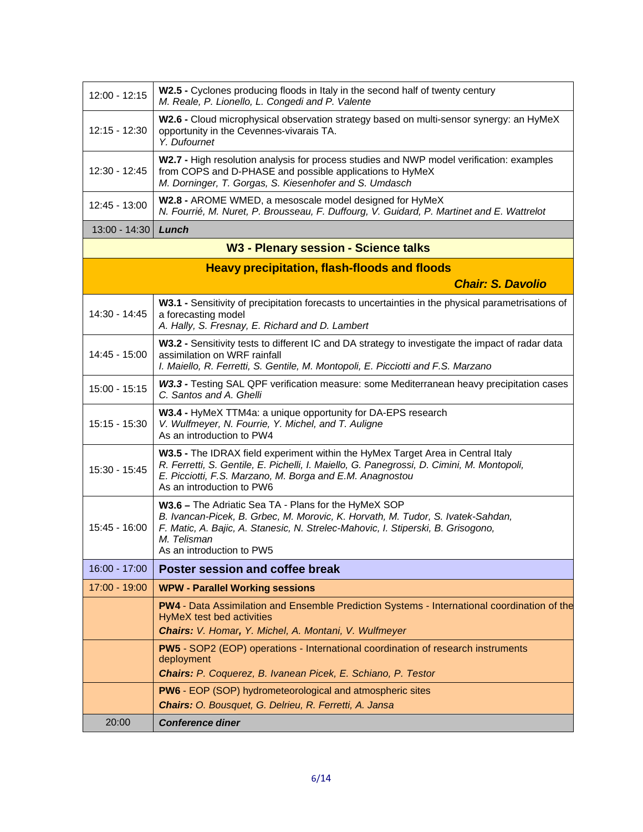| 12:00 - 12:15 | W2.5 - Cyclones producing floods in Italy in the second half of twenty century<br>M. Reale, P. Lionello, L. Congedi and P. Valente                                                                                                                                      |
|---------------|-------------------------------------------------------------------------------------------------------------------------------------------------------------------------------------------------------------------------------------------------------------------------|
| 12:15 - 12:30 | W2.6 - Cloud microphysical observation strategy based on multi-sensor synergy: an HyMeX<br>opportunity in the Cevennes-vivarais TA.<br>Y. Dufournet                                                                                                                     |
| 12:30 - 12:45 | W2.7 - High resolution analysis for process studies and NWP model verification: examples<br>from COPS and D-PHASE and possible applications to HyMeX<br>M. Dorninger, T. Gorgas, S. Kiesenhofer and S. Umdasch                                                          |
| 12:45 - 13:00 | W2.8 - AROME WMED, a mesoscale model designed for HyMeX<br>N. Fourrié, M. Nuret, P. Brousseau, F. Duffourg, V. Guidard, P. Martinet and E. Wattrelot                                                                                                                    |
| 13:00 - 14:30 | Lunch                                                                                                                                                                                                                                                                   |
|               | W3 - Plenary session - Science talks                                                                                                                                                                                                                                    |
|               | <b>Heavy precipitation, flash-floods and floods</b>                                                                                                                                                                                                                     |
|               | <b>Chair: S. Davolio</b>                                                                                                                                                                                                                                                |
| 14:30 - 14:45 | W3.1 - Sensitivity of precipitation forecasts to uncertainties in the physical parametrisations of<br>a forecasting model<br>A. Hally, S. Fresnay, E. Richard and D. Lambert                                                                                            |
| 14:45 - 15:00 | W3.2 - Sensitivity tests to different IC and DA strategy to investigate the impact of radar data<br>assimilation on WRF rainfall<br>I. Maiello, R. Ferretti, S. Gentile, M. Montopoli, E. Picciotti and F.S. Marzano                                                    |
| 15:00 - 15:15 | W3.3 - Testing SAL QPF verification measure: some Mediterranean heavy precipitation cases<br>C. Santos and A. Ghelli                                                                                                                                                    |
| 15:15 - 15:30 | W3.4 - HyMeX TTM4a: a unique opportunity for DA-EPS research<br>V. Wulfmeyer, N. Fourrie, Y. Michel, and T. Auligne<br>As an introduction to PW4                                                                                                                        |
| 15:30 - 15:45 | W3.5 - The IDRAX field experiment within the HyMex Target Area in Central Italy<br>R. Ferretti, S. Gentile, E. Pichelli, I. Maiello, G. Panegrossi, D. Cimini, M. Montopoli,<br>E. Picciotti, F.S. Marzano, M. Borga and E.M. Anagnostou<br>As an introduction to PW6   |
| 15:45 - 16:00 | W3.6 - The Adriatic Sea TA - Plans for the HyMeX SOP<br>B. Ivancan-Picek, B. Grbec, M. Morovic, K. Horvath, M. Tudor, S. Ivatek-Sahdan,<br>F. Matic, A. Bajic, A. Stanesic, N. Strelec-Mahovic, I. Stiperski, B. Grisogono,<br>M. Telisman<br>As an introduction to PW5 |
| 16:00 - 17:00 | Poster session and coffee break                                                                                                                                                                                                                                         |
| 17:00 - 19:00 | <b>WPW - Parallel Working sessions</b>                                                                                                                                                                                                                                  |
|               | PW4 - Data Assimilation and Ensemble Prediction Systems - International coordination of the<br><b>HyMeX test bed activities</b><br>Chairs: V. Homar, Y. Michel, A. Montani, V. Wulfmeyer                                                                                |
|               | PW5 - SOP2 (EOP) operations - International coordination of research instruments<br>deployment<br>Chairs: P. Coquerez, B. Ivanean Picek, E. Schiano, P. Testor                                                                                                          |
|               | <b>PW6</b> - EOP (SOP) hydrometeorological and atmospheric sites<br>Chairs: O. Bousquet, G. Delrieu, R. Ferretti, A. Jansa                                                                                                                                              |
| 20:00         | <b>Conference diner</b>                                                                                                                                                                                                                                                 |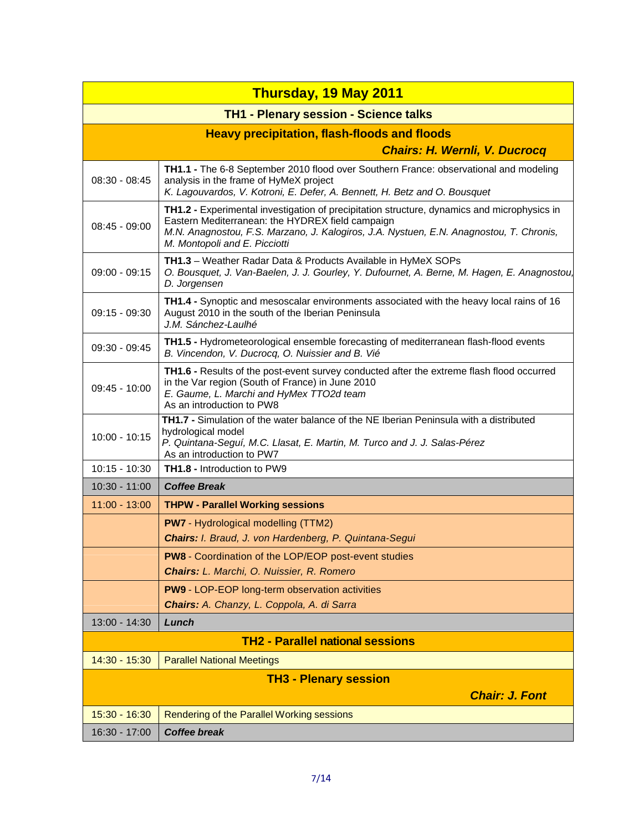|                 | <b>Thursday, 19 May 2011</b>                                                                                                                                                                                                                                                |  |  |
|-----------------|-----------------------------------------------------------------------------------------------------------------------------------------------------------------------------------------------------------------------------------------------------------------------------|--|--|
|                 | <b>TH1 - Plenary session - Science talks</b>                                                                                                                                                                                                                                |  |  |
|                 | <b>Heavy precipitation, flash-floods and floods</b>                                                                                                                                                                                                                         |  |  |
|                 | <b>Chairs: H. Wernli, V. Ducrocq</b>                                                                                                                                                                                                                                        |  |  |
| $08:30 - 08:45$ | TH1.1 - The 6-8 September 2010 flood over Southern France: observational and modeling<br>analysis in the frame of HyMeX project<br>K. Lagouvardos, V. Kotroni, E. Defer, A. Bennett, H. Betz and O. Bousquet                                                                |  |  |
| $08:45 - 09:00$ | TH1.2 - Experimental investigation of precipitation structure, dynamics and microphysics in<br>Eastern Mediterranean: the HYDREX field campaign<br>M.N. Anagnostou, F.S. Marzano, J. Kalogiros, J.A. Nystuen, E.N. Anagnostou, T. Chronis,<br>M. Montopoli and E. Picciotti |  |  |
| $09:00 - 09:15$ | <b>TH1.3</b> – Weather Radar Data & Products Available in HyMeX SOPs<br>O. Bousquet, J. Van-Baelen, J. J. Gourley, Y. Dufournet, A. Berne, M. Hagen, E. Anagnostou,<br>D. Jorgensen                                                                                         |  |  |
| $09:15 - 09:30$ | TH1.4 - Synoptic and mesoscalar environments associated with the heavy local rains of 16<br>August 2010 in the south of the Iberian Peninsula<br>J.M. Sánchez-Laulhé                                                                                                        |  |  |
| 09:30 - 09:45   | TH1.5 - Hydrometeorological ensemble forecasting of mediterranean flash-flood events<br>B. Vincendon, V. Ducrocq, O. Nuissier and B. Vié                                                                                                                                    |  |  |
| 09:45 - 10:00   | TH1.6 - Results of the post-event survey conducted after the extreme flash flood occurred<br>in the Var region (South of France) in June 2010<br>E. Gaume, L. Marchi and HyMex TTO2d team<br>As an introduction to PW8                                                      |  |  |
| 10:00 - 10:15   | TH1.7 - Simulation of the water balance of the NE Iberian Peninsula with a distributed<br>hydrological model<br>P. Quintana-Seguí, M.C. Llasat, E. Martin, M. Turco and J. J. Salas-Pérez<br>As an introduction to PW7                                                      |  |  |
| $10:15 - 10:30$ | <b>TH1.8 - Introduction to PW9</b>                                                                                                                                                                                                                                          |  |  |
| $10:30 - 11:00$ | <b>Coffee Break</b>                                                                                                                                                                                                                                                         |  |  |
| $11:00 - 13:00$ | <b>THPW - Parallel Working sessions</b>                                                                                                                                                                                                                                     |  |  |
|                 | <b>PW7</b> - Hydrological modelling (TTM2)<br>Chairs: I. Braud, J. von Hardenberg, P. Quintana-Segui                                                                                                                                                                        |  |  |
|                 | <b>PW8</b> - Coordination of the LOP/EOP post-event studies                                                                                                                                                                                                                 |  |  |
|                 | Chairs: L. Marchi, O. Nuissier, R. Romero                                                                                                                                                                                                                                   |  |  |
|                 | <b>PW9 - LOP-EOP long-term observation activities</b>                                                                                                                                                                                                                       |  |  |
|                 | Chairs: A. Chanzy, L. Coppola, A. di Sarra                                                                                                                                                                                                                                  |  |  |
| 13:00 - 14:30   | Lunch                                                                                                                                                                                                                                                                       |  |  |
|                 | <b>TH2 - Parallel national sessions</b>                                                                                                                                                                                                                                     |  |  |
| $14:30 - 15:30$ | <b>Parallel National Meetings</b>                                                                                                                                                                                                                                           |  |  |
|                 | <b>TH3 - Plenary session</b><br><b>Chair: J. Font</b>                                                                                                                                                                                                                       |  |  |
| 15:30 - 16:30   | Rendering of the Parallel Working sessions                                                                                                                                                                                                                                  |  |  |
| 16:30 - 17:00   | <b>Coffee break</b>                                                                                                                                                                                                                                                         |  |  |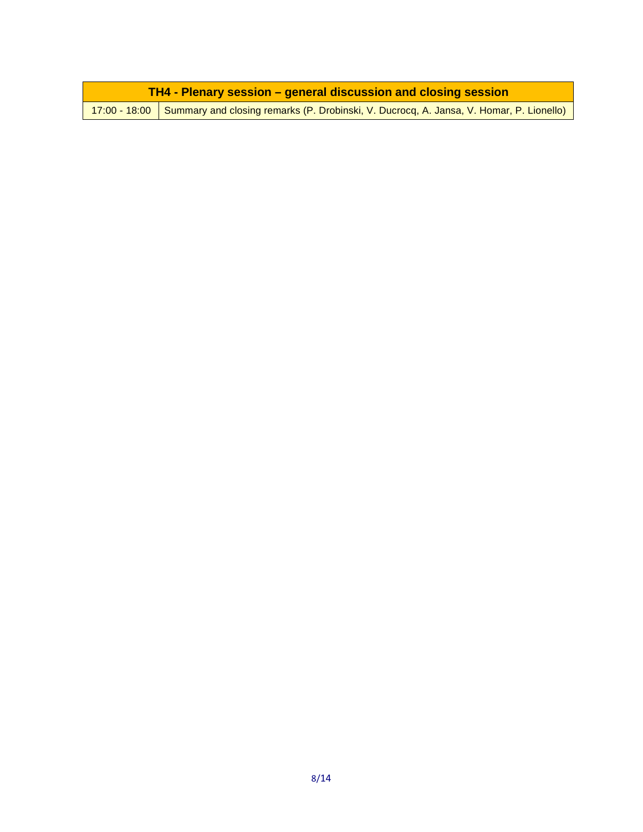| <b>TH4 - Plenary session – general discussion and closing session</b> |                                                                                                                       |  |
|-----------------------------------------------------------------------|-----------------------------------------------------------------------------------------------------------------------|--|
|                                                                       | <mark>217:00 - 18:00   Summary and closing remarks (P. Drobinski, V. Ducrocq, A. Jansa, V. Homar, P. Lionello)</mark> |  |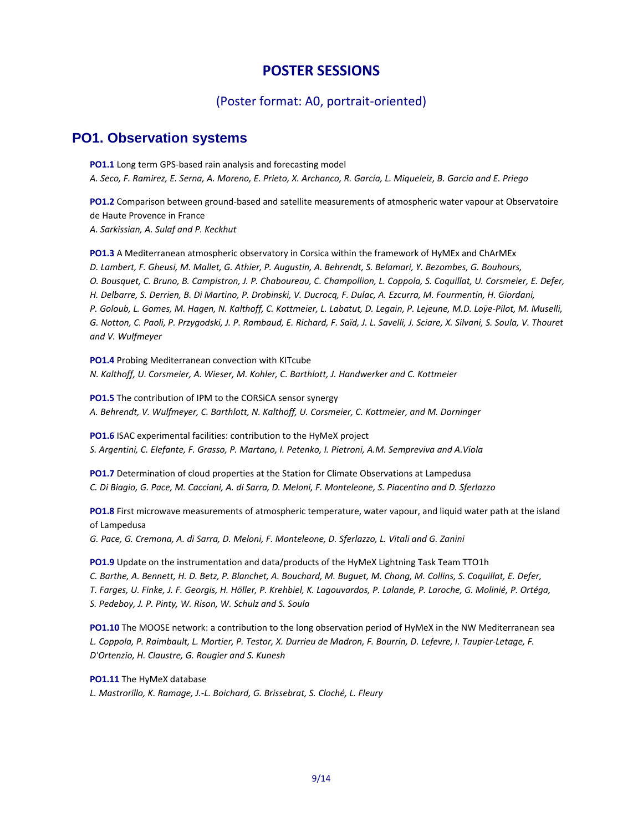# **POSTER SESSIONS**

#### (Poster format: A0, portrait‐oriented)

# **PO1. Observation systems**

**PO1.1** Long term GPS-based rain analysis and forecasting model A. Seco, F. Ramirez, E. Serna, A. Moreno, E. Prieto, X. Archanco, R. García, L. Miqueleiz, B. Garcia and E. Priego

**PO1.2** Comparison between ground‐based and satellite measurements of atmospheric water vapour at Observatoire de Haute Provence in France *A. Sarkissian, A. Sulaf and P. Keckhut*

**PO1.3** A Mediterranean atmospheric observatory in Corsica within the framework of HyMEx and ChArMEx D. Lambert, F. Gheusi, M. Mallet, G. Athier, P. Augustin, A. Behrendt, S. Belamari, Y. Bezombes, G. Bouhours, O. Bousquet, C. Bruno, B. Campistron, J. P. Chaboureau, C. Champollion, L. Coppola, S. Coquillat, U. Corsmeier, E. Defer, H. Delbarre, S. Derrien, B. Di Martino, P. Drobinski, V. Ducrocq, F. Dulac, A. Ezcurra, M. Fourmentin, H. Giordani, P. Goloub, L. Gomes, M. Hagen, N. Kalthoff, C. Kottmeier, L. Labatut, D. Legain, P. Lejeune, M.D. Loÿe-Pilot, M. Muselli, G. Notton, C. Paoli, P. Przygodski, J. P. Rambaud, E. Richard, F. Saïd, J. L. Savelli, J. Sciare, X. Silvani, S. Soula, V. Thouret *and V. Wulfmeyer*

**PO1.4** Probing Mediterranean convection with KITcube *N. Kalthoff, U. Corsmeier, A. Wieser, M. Kohler, C. Barthlott, J. Handwerker and C. Kottmeier*

**PO1.5** The contribution of IPM to the CORSiCA sensor synergy *A. Behrendt, V. Wulfmeyer, C. Barthlott, N. Kalthoff, U. Corsmeier, C. Kottmeier, and M. Dorninger*

**PO1.6** ISAC experimental facilities: contribution to the HyMeX project *S. Argentini, C. Elefante, F. Grasso, P. Martano, I. Petenko, I. Pietroni, A.M. Sempreviva and A.Viola*

**PO1.7** Determination of cloud properties at the Station for Climate Observations at Lampedusa C. Di Biagio, G. Pace, M. Cacciani, A. di Sarra, D. Meloni, F. Monteleone, S. Piacentino and D. Sferlazzo

**PO1.8** First microwave measurements of atmospheric temperature, water vapour, and liquid water path at the island of Lampedusa

*G. Pace, G. Cremona, A. di Sarra, D. Meloni, F. Monteleone, D. Sferlazzo, L. Vitali and G. Zanini*

**PO1.9** Update on the instrumentation and data/products of the HyMeX Lightning Task Team TTO1h C. Barthe, A. Bennett, H. D. Betz, P. Blanchet, A. Bouchard, M. Buguet, M. Chong, M. Collins, S. Coquillat, E. Defer, T. Farges, U. Finke, J. F. Georgis, H. Höller, P. Krehbiel, K. Lagouvardos, P. Lalande, P. Laroche, G. Molinié, P. Ortéga, *S. Pedeboy, J. P. Pinty, W. Rison, W. Schulz and S. Soula*

**PO1.10** The MOOSE network: a contribution to the long observation period of HyMeX in the NW Mediterranean sea L. Coppola, P. Raimbault, L. Mortier, P. Testor, X. Durrieu de Madron, F. Bourrin, D. Lefevre, I. Taupier-Letage, F. *D'Ortenzio, H. Claustre, G. Rougier and S. Kunesh*

#### **PO1.11** The HyMeX database

*L. Mastrorillo, K. Ramage, J.‐L. Boichard, G. Brissebrat, S. Cloché, L. Fleury*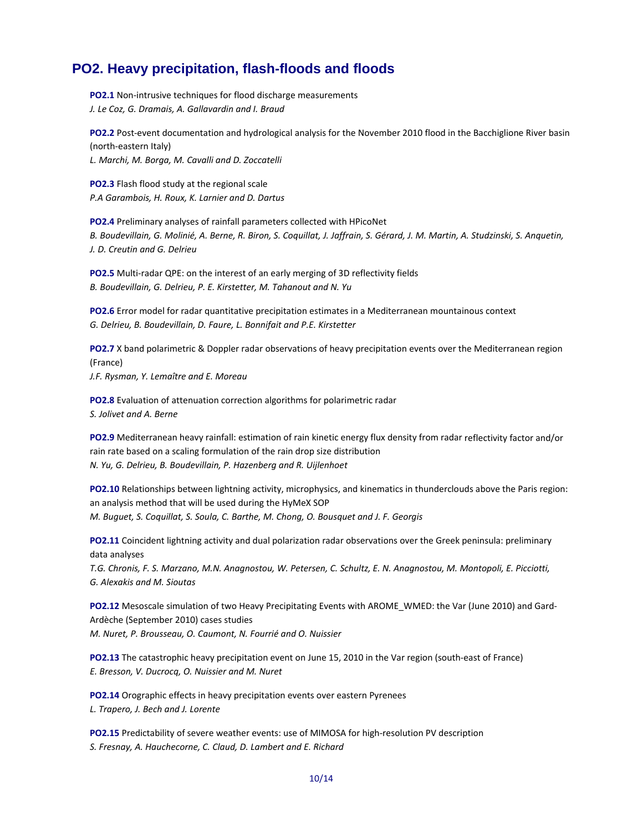# **PO2. Heavy precipitation, flash-floods and floods**

**PO2.1** Non-intrusive techniques for flood discharge measurements *J. Le Coz, G. Dramais, A. Gallavardin and I. Braud*

**PO2.2** Post-event documentation and hydrological analysis for the November 2010 flood in the Bacchiglione River basin (north‐eastern Italy)

*L. Marchi, M. Borga, M. Cavalli and D. Zoccatelli*

**PO2.3** Flash flood study at the regional scale *P.A Garambois, H. Roux, K. Larnier and D. Dartus*

**PO2.4** Preliminary analyses of rainfall parameters collected with HPicoNet B. Boudevillain, G. Molinié, A. Berne, R. Biron, S. Coquillat, J. Jaffrain, S. Gérard, J. M. Martin, A. Studzinski, S. Anquetin, *J. D. Creutin and G. Delrieu*

**PO2.5** Multi-radar QPE: on the interest of an early merging of 3D reflectivity fields *B. Boudevillain, G. Delrieu, P. E. Kirstetter, M. Tahanout and N. Yu* 

**PO2.6** Error model for radar quantitative precipitation estimates in a Mediterranean mountainous context *G. Delrieu, B. Boudevillain, D. Faure, L. Bonnifait and P.E. Kirstetter*

**PO2.7** X band polarimetric & Doppler radar observations of heavy precipitation events over the Mediterranean region (France) *J.F. Rysman, Y. Lemaître and E. Moreau*

**PO2.8** Evaluation of attenuation correction algorithms for polarimetric radar *S. Jolivet and A. Berne*

**PO2.9** Mediterranean heavy rainfall: estimation of rain kinetic energy flux density from radar reflectivity factor and/or rain rate based on a scaling formulation of the rain drop size distribution *N. Yu, G. Delrieu, B. Boudevillain, P. Hazenberg and R. Uijlenhoet*

**PO2.10** Relationships between lightning activity, microphysics, and kinematics in thunderclouds above the Paris region: an analysis method that will be used during the HyMeX SOP *M. Buguet, S. Coquillat, S. Soula, C. Barthe, M. Chong, O. Bousquet and J. F. Georgis*

**PO2.11** Coincident lightning activity and dual polarization radar observations over the Greek peninsula: preliminary data analyses

T.G. Chronis, F. S. Marzano, M.N. Anagnostou, W. Petersen, C. Schultz, E. N. Anagnostou, M. Montopoli, E. Picciotti, *G. Alexakis and M. Sioutas*

**PO2.12** Mesoscale simulation of two Heavy Precipitating Events with AROME WMED: the Var (June 2010) and Gard-Ardèche (September 2010) cases studies

*M. Nuret, P. Brousseau, O. Caumont, N. Fourrié and O. Nuissier*

**PO2.13** The catastrophic heavy precipitation event on June 15, 2010 in the Var region (south‐east of France) *E. Bresson, V. Ducrocq, O. Nuissier and M. Nuret*

**PO2.14** Orographic effects in heavy precipitation events over eastern Pyrenees *L. Trapero, J. Bech and J. Lorente*

**PO2.15** Predictability of severe weather events: use of MIMOSA for high-resolution PV description *S. Fresnay, A. Hauchecorne, C. Claud, D. Lambert and E. Richard*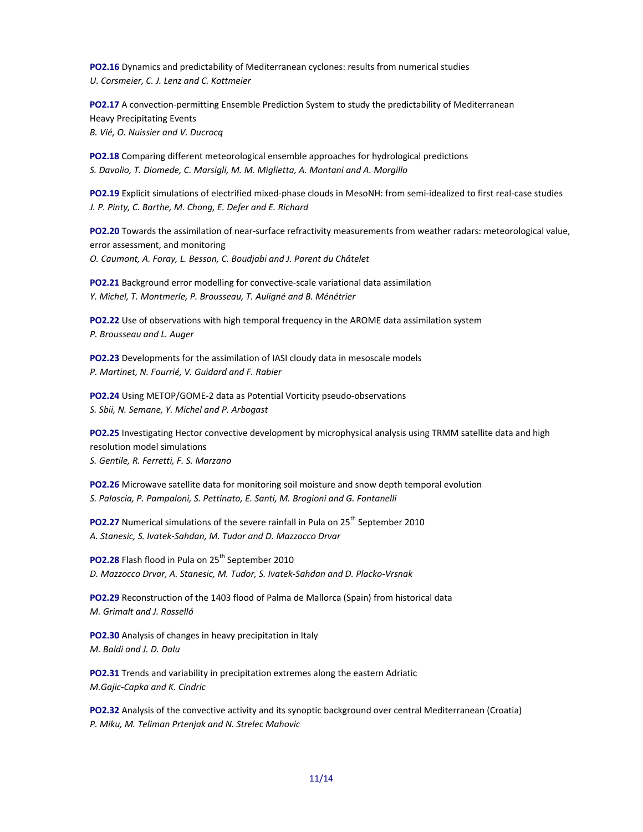**PO2.16** Dynamics and predictability of Mediterranean cyclones: results from numerical studies *U. Corsmeier, C. J. Lenz and C. Kottmeier*

**PO2.17** A convection-permitting Ensemble Prediction System to study the predictability of Mediterranean Heavy Precipitating Events *B. Vié, O. Nuissier and V. Ducrocq*

**PO2.18** Comparing different meteorological ensemble approaches for hydrological predictions *S. Davolio, T. Diomede, C. Marsigli, M. M. Miglietta, A. Montani and A. Morgillo*

**PO2.19** Explicit simulations of electrified mixed‐phase clouds in MesoNH: from semi‐idealized to first real‐case studies *J. P. Pinty, C. Barthe, M. Chong, E. Defer and E. Richard*

**PO2.20** Towards the assimilation of near‐surface refractivity measurements from weather radars: meteorological value, error assessment, and monitoring *O. Caumont, A. Foray, L. Besson, C. Boudjabi and J. Parent du Châtelet*

**PO2.21** Background error modelling for convective-scale variational data assimilation *Y. Michel, T. Montmerle, P. Brousseau, T. Auligné and B. Ménétrier*

**PO2.22** Use of observations with high temporal frequency in the AROME data assimilation system *P. Brousseau and L. Auger*

**PO2.23** Developments for the assimilation of IASI cloudy data in mesoscale models *P. Martinet, N. Fourrié, V. Guidard and F. Rabier*

**PO2.24** Using METOP/GOME‐2 data as Potential Vorticity pseudo‐observations *S. Sbii, N. Semane, Y. Michel and P. Arbogast*

**PO2.25** Investigating Hector convective development by microphysical analysis using TRMM satellite data and high resolution model simulations *S. Gentile, R. Ferretti, F. S. Marzano*

**PO2.26** Microwave satellite data for monitoring soil moisture and snow depth temporal evolution *S. Paloscia, P. Pampaloni, S. Pettinato, E. Santi, M. Brogioni and G. Fontanelli*

**PO2.27** Numerical simulations of the severe rainfall in Pula on 25<sup>th</sup> September 2010 *A. Stanesic, S. Ivatek‐Sahdan, M. Tudor and D. Mazzocco Drvar*

**PO2.28** Flash flood in Pula on 25<sup>th</sup> September 2010 *D. Mazzocco Drvar, A. Stanesic, M. Tudor, S. Ivatek‐Sahdan and D. Placko‐Vrsnak*

**PO2.29** Reconstruction of the 1403 flood of Palma de Mallorca (Spain) from historical data *M. Grimalt and J. Rosselló*

**PO2.30** Analysis of changes in heavy precipitation in Italy *M. Baldi and J. D. Dalu*

**PO2.31** Trends and variability in precipitation extremes along the eastern Adriatic *M.Gajic‐Capka and K. Cindric*

**PO2.32** Analysis of the convective activity and its synoptic background over central Mediterranean (Croatia) *P. Miku, M. Teliman Prtenjak and N. Strelec Mahovic*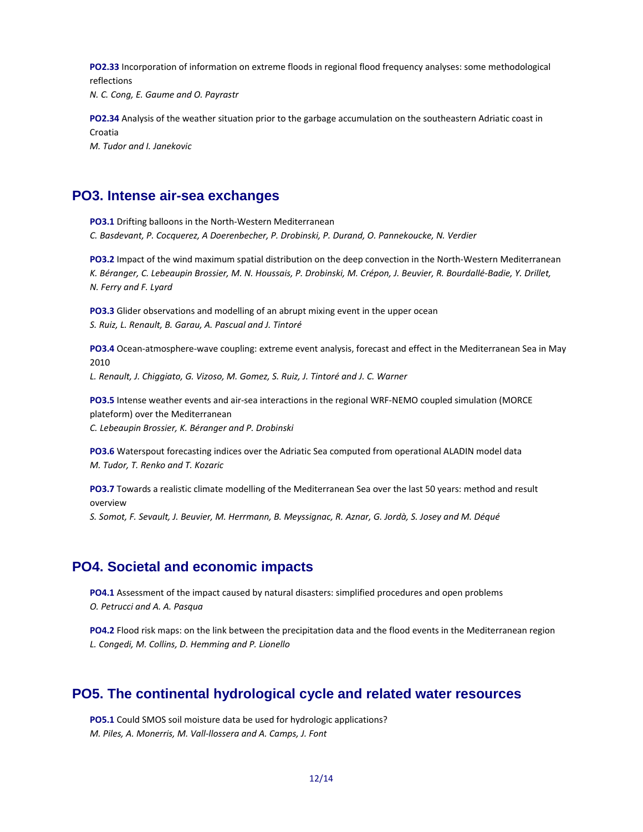**PO2.33** Incorporation of information on extreme floods in regional flood frequency analyses: some methodological reflections *N. C. Cong, E. Gaume and O. Payrastr*

**PO2.34** Analysis of the weather situation prior to the garbage accumulation on the southeastern Adriatic coast in Croatia *M. Tudor and I. Janekovic*

#### **PO3. Intense air-sea exchanges**

**PO3.1** Drifting balloons in the North‐Western Mediterranean *C. Basdevant, P. Cocquerez, A Doerenbecher, P. Drobinski, P. Durand, O. Pannekoucke, N. Verdier*

**PO3.2** Impact of the wind maximum spatial distribution on the deep convection in the North‐Western Mediterranean K. Béranger, C. Lebeaupin Brossier, M. N. Houssais, P. Drobinski, M. Crépon, J. Beuvier, R. Bourdallé-Badie, Y. Drillet, *N. Ferry and F. Lyard*

**PO3.3** Glider observations and modelling of an abrupt mixing event in the upper ocean *S. Ruiz, L. Renault, B. Garau, A. Pascual and J. Tintoré*

**PO3.4** Ocean‐atmosphere‐wave coupling: extreme event analysis, forecast and effect in the Mediterranean Sea in May 2010

*L. Renault, J. Chiggiato, G. Vizoso, M. Gomez, S. Ruiz, J. Tintoré and J. C. Warner*

**PO3.5** Intense weather events and air-sea interactions in the regional WRF-NEMO coupled simulation (MORCE plateform) over the Mediterranean *C. Lebeaupin Brossier, K. Béranger and P. Drobinski*

**PO3.6** Waterspout forecasting indices over the Adriatic Sea computed from operational ALADIN model data *M. Tudor, T. Renko and T. Kozaric*

**PO3.7** Towards a realistic climate modelling of the Mediterranean Sea over the last 50 years: method and result overview S. Somot, F. Sevault, J. Beuvier, M. Herrmann, B. Meyssignac, R. Aznar, G. Jordà, S. Josey and M. Déqué

# **PO4. Societal and economic impacts**

**PO4.1** Assessment of the impact caused by natural disasters: simplified procedures and open problems *O. Petrucci and A. A. Pasqua*

**PO4.2** Flood risk maps: on the link between the precipitation data and the flood events in the Mediterranean region *L. Congedi, M. Collins, D. Hemming and P. Lionello*

# **PO5. The continental hydrological cycle and related water resources**

**PO5.1** Could SMOS soil moisture data be used for hydrologic applications? *M. Piles, A. Monerris, M. Vall‐llossera and A. Camps, J. Font*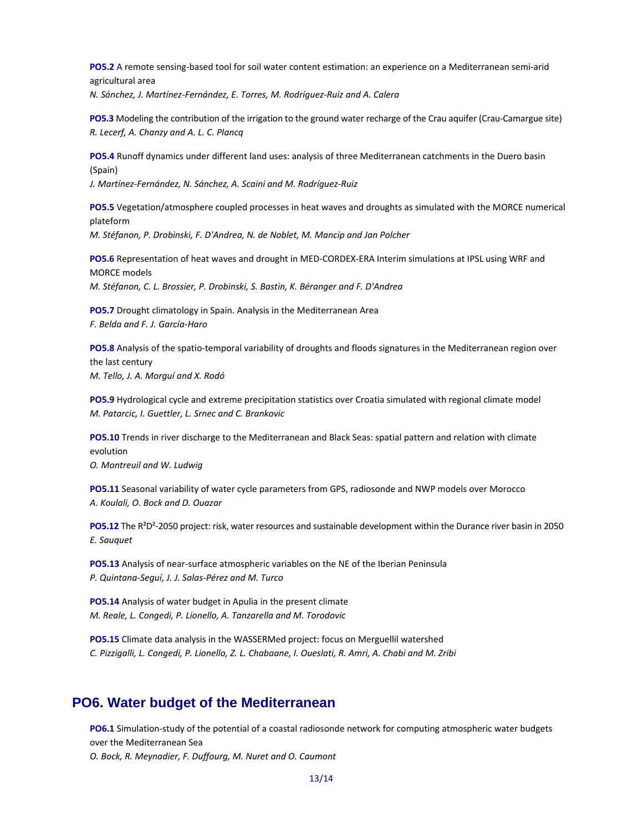**PO5.2** A remote sensing‐based tool for soil water content estimation: an experience on a Mediterranean semi‐arid agricultural area *N. Sánchez, J. Martínez‐Fernández, E. Torres, M. Rodríguez‐Ruiz and A. Calera*

**PO5.3** Modeling the contribution of the irrigation to the ground water recharge of the Crau aquifer (Crau-Camargue site) *R. Lecerf, A. Chanzy and A. L. C. Plancq*

**PO5.4** Runoff dynamics under different land uses: analysis of three Mediterranean catchments in the Duero basin (Spain)

*J. Martínez‐Fernández, N. Sánchez, A. Scaini and M. Rodríguez‐Ruiz*

**PO5.5** Vegetation/atmosphere coupled processes in heat waves and droughts as simulated with the MORCE numerical plateform

*M. Stéfanon, P. Drobinski, F. D'Andrea, N. de Noblet, M. Mancip and Jan Polcher*

**PO5.6** Representation of heat waves and drought in MED‐CORDEX‐ERA Interim simulations at IPSL using WRF and MORCE models *M. Stéfanon, C. L. Brossier, P. Drobinski, S. Bastin, K. Béranger and F. D'Andrea*

**PO5.7** Drought climatology in Spain. Analysis in the Mediterranean Area *F. Belda and F. J. García‐Haro*

**PO5.8** Analysis of the spatio-temporal variability of droughts and floods signatures in the Mediterranean region over the last century *M. Tello, J. A. Morguí and X. Rodó*

**PO5.9** Hydrological cycle and extreme precipitation statistics over Croatia simulated with regional climate model *M. Patarcic, I. Guettler, L. Srnec and C. Brankovic*

**PO5.10** Trends in river discharge to the Mediterranean and Black Seas: spatial pattern and relation with climate evolution *O. Montreuil and W. Ludwig*

**PO5.11** Seasonal variability of water cycle parameters from GPS, radiosonde and NWP models over Morocco *A. Koulali, O. Bock and D. Ouazar*

**PO5.12** The R<sup>2</sup>D<sup>2</sup>-2050 project: risk, water resources and sustainable development within the Durance river basin in 2050 *E. Sauquet*

**PO5.13** Analysis of near-surface atmospheric variables on the NE of the Iberian Peninsula *P. Quintana‐Seguí, J. J. Salas‐Pérez and M. Turco*

**PO5.14** Analysis of water budget in Apulia in the present climate *M. Reale, L. Congedi, P. Lionello, A. Tanzarella and M. Torodovic*

**PO5.15** Climate data analysis in the WASSERMed project: focus on Merguellil watershed C. Pizzigalli, L. Congedi, P. Lionello, Z. L. Chabaane, I. Oueslati, R. Amri, A. Chabi and M. Zribi

# **PO6. Water budget of the Mediterranean**

**PO6.1** Simulation‐study of the potential of a coastal radiosonde network for computing atmospheric water budgets over the Mediterranean Sea *O. Bock, R. Meynadier, F. Duffourg, M. Nuret and O. Caumont*